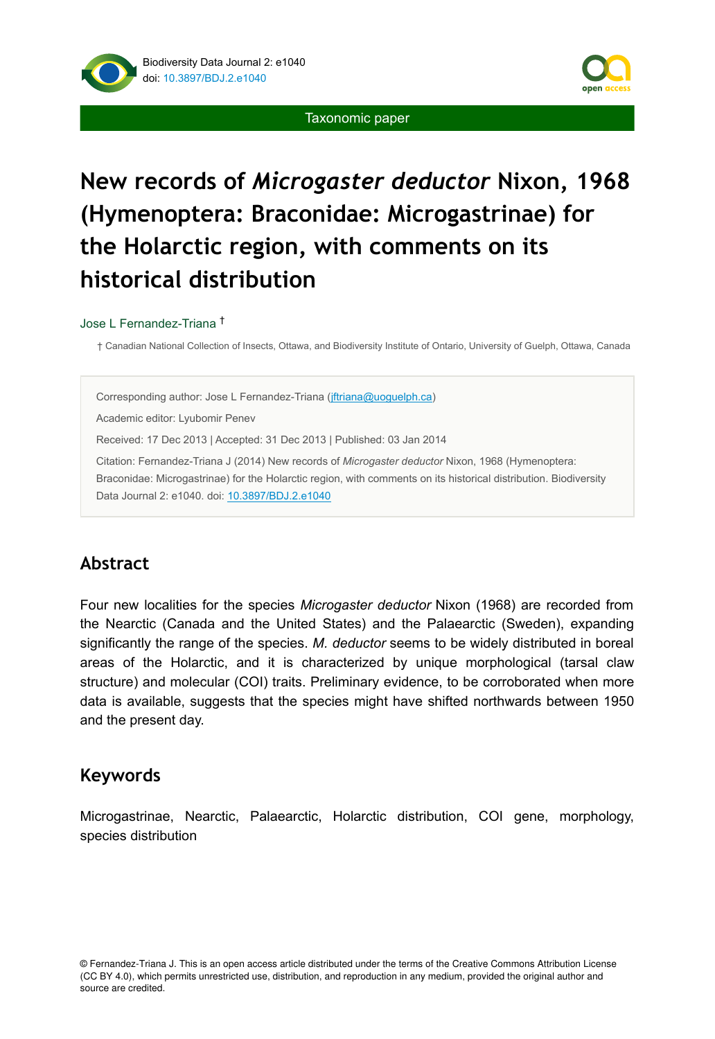



# **New records of** *Microgaster deductor* **Nixon, 1968 (Hymenoptera: Braconidae: Microgastrinae) for the Holarctic region, with comments on its historical distribution**

#### Jose L Fernandez-Triana †

† Canadian National Collection of Insects, Ottawa, and Biodiversity Institute of Ontario, University of Guelph, Ottawa, Canada

Corresponding author: Jose L Fernandez-Triana ([jftriana@uoguelph.ca\)](mailto:jftriana@uoguelph.ca)

Academic editor: Lyubomir Penev

Received: 17 Dec 2013 | Accepted: 31 Dec 2013 | Published: 03 Jan 2014

Citation: Fernandez-Triana J (2014) New records of *Microgaster deductor* Nixon, 1968 (Hymenoptera: Braconidae: Microgastrinae) for the Holarctic region, with comments on its historical distribution. Biodiversity Data Journal 2: e1040. doi: [10.3897/BDJ.2.e1040](http://dx.doi.org/10.3897/BDJ.2.e1040)

# **Abstract**

Four new localities for the species *Microgaster deductor* Nixon (1968) are recorded from the Nearctic (Canada and the United States) and the Palaearctic (Sweden), expanding significantly the range of the species. *M. deductor* seems to be widely distributed in boreal areas of the Holarctic, and it is characterized by unique morphological (tarsal claw structure) and molecular (COI) traits. Preliminary evidence, to be corroborated when more data is available, suggests that the species might have shifted northwards between 1950 and the present day.

# **Keywords**

Microgastrinae, Nearctic, Palaearctic, Holarctic distribution, COI gene, morphology, species distribution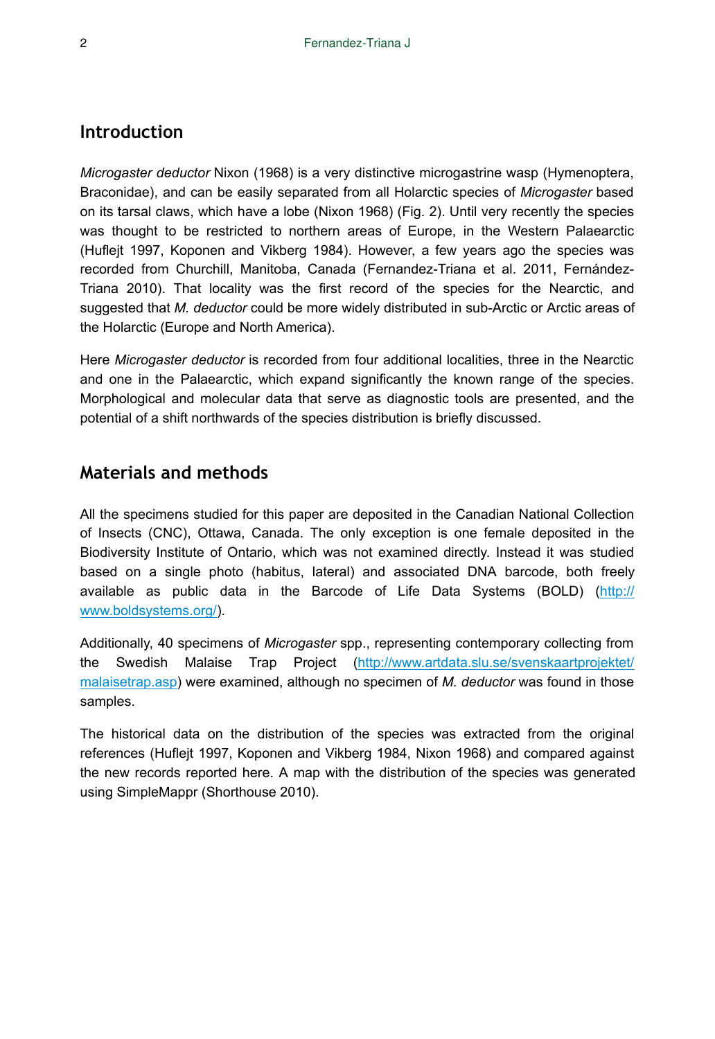# **Introduction**

*Microgaster deductor* Nixon (1968) is a very distinctive microgastrine wasp (Hymenoptera, Braconidae), and can be easily separated from all Holarctic species of *Microgaster* based on its tarsal claws, which have a lobe (Nixon 1968) (Fig. 2). Until very recently the species was thought to be restricted to northern areas of Europe, in the Western Palaearctic (Huflejt 1997, Koponen and Vikberg 1984). However, a few years ago the species was recorded from Churchill, Manitoba, Canada (Fernandez-Triana et al. 2011, Fernández-Triana 2010). That locality was the first record of the species for the Nearctic, and suggested that *M. deductor* could be more widely distributed in sub-Arctic or Arctic areas of the Holarctic (Europe and North America).

Here *Microgaster deductor* is recorded from four additional localities, three in the Nearctic and one in the Palaearctic, which expand significantly the known range of the species. Morphological and molecular data that serve as diagnostic tools are presented, and the potential of a shift northwards of the species distribution is briefly discussed.

# **Materials and methods**

All the specimens studied for this paper are deposited in the Canadian National Collection of Insects (CNC), Ottawa, Canada. The only exception is one female deposited in the Biodiversity Institute of Ontario, which was not examined directly. Instead it was studied based on a single photo (habitus, lateral) and associated DNA barcode, both freely available as public data in the Barcode of Life Data Systems (BOLD) ([http://](http://www.boldsystems.org/) [www.boldsystems.org/\)](http://www.boldsystems.org/).

Additionally, 40 specimens of *Microgaster* spp., representing contemporary collecting from the Swedish Malaise Trap Project [\(http://www.artdata.slu.se/svenskaartprojektet/](http://www.artdata.slu.se/svenskaartprojektet/malaisetrap.asp) [malaisetrap.asp\)](http://www.artdata.slu.se/svenskaartprojektet/malaisetrap.asp) were examined, although no specimen of *M. deductor* was found in those samples.

The historical data on the distribution of the species was extracted from the original references (Huflejt 1997, Koponen and Vikberg 1984, Nixon 1968) and compared against the new records reported here. A map with the distribution of the species was generated using SimpleMappr (Shorthouse 2010).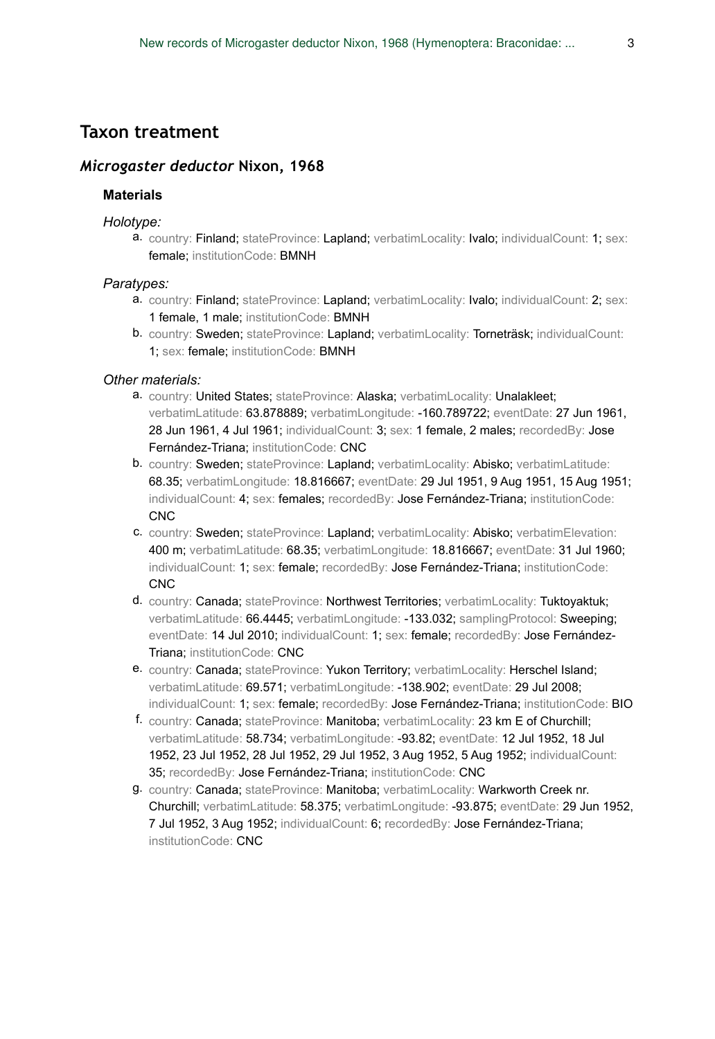## **Taxon treatment**

### *Microgaster deductor* **Nixon, 1968**

#### **Materials**

#### *Holotype:*

a. country: Finland; stateProvince: Lapland; verbatimLocality: Ivalo; individualCount: 1; sex: female; institutionCode: BMNH

#### *Paratypes:*

- a. country: Finland; stateProvince: Lapland; verbatimLocality: Ivalo; individualCount: 2; sex: 1 female, 1 male; institutionCode: BMNH
- b. country: Sweden; stateProvince: Lapland; verbatimLocality: Torneträsk; individualCount: 1; sex: female; institutionCode: BMNH

#### *Other materials:*

- a. country: United States; stateProvince: Alaska; verbatimLocality: Unalakleet; verbatimLatitude: 63.878889; verbatimLongitude: -160.789722; eventDate: 27 Jun 1961, 28 Jun 1961, 4 Jul 1961; individualCount: 3; sex: 1 female, 2 males; recordedBy: Jose Fernández-Triana; institutionCode: CNC
- b. country: Sweden; stateProvince: Lapland; verbatimLocality: Abisko; verbatimLatitude: 68.35; verbatimLongitude: 18.816667; eventDate: 29 Jul 1951, 9 Aug 1951, 15 Aug 1951; individualCount: 4; sex: females; recordedBy: Jose Fernández-Triana; institutionCode: CNC
- c. country: Sweden; stateProvince: Lapland; verbatimLocality: Abisko; verbatimElevation: 400 m; verbatimLatitude: 68.35; verbatimLongitude: 18.816667; eventDate: 31 Jul 1960; individualCount: 1; sex: female; recordedBy: Jose Fernández-Triana; institutionCode: **CNC**
- d. country: Canada; stateProvince: Northwest Territories; verbatimLocality: Tuktoyaktuk; verbatimLatitude: 66.4445; verbatimLongitude: -133.032; samplingProtocol: Sweeping; eventDate: 14 Jul 2010; individualCount: 1; sex: female; recordedBy: Jose Fernández-Triana; institutionCode: CNC
- e. country: Canada; stateProvince: Yukon Territory; verbatimLocality: Herschel Island; verbatimLatitude: 69.571; verbatimLongitude: -138.902; eventDate: 29 Jul 2008; individualCount: 1; sex: female; recordedBy: Jose Fernández-Triana; institutionCode: BIO
- f. country: Canada; stateProvince: Manitoba; verbatimLocality: 23 km E of Churchill; verbatimLatitude: 58.734; verbatimLongitude: -93.82; eventDate: 12 Jul 1952, 18 Jul 1952, 23 Jul 1952, 28 Jul 1952, 29 Jul 1952, 3 Aug 1952, 5 Aug 1952; individualCount: 35; recordedBy: Jose Fernández-Triana; institutionCode: CNC
- g. country: Canada; stateProvince: Manitoba; verbatimLocality: Warkworth Creek nr. Churchill; verbatimLatitude: 58.375; verbatimLongitude: -93.875; eventDate: 29 Jun 1952, 7 Jul 1952, 3 Aug 1952; individualCount: 6; recordedBy: Jose Fernández-Triana; institutionCode: CNC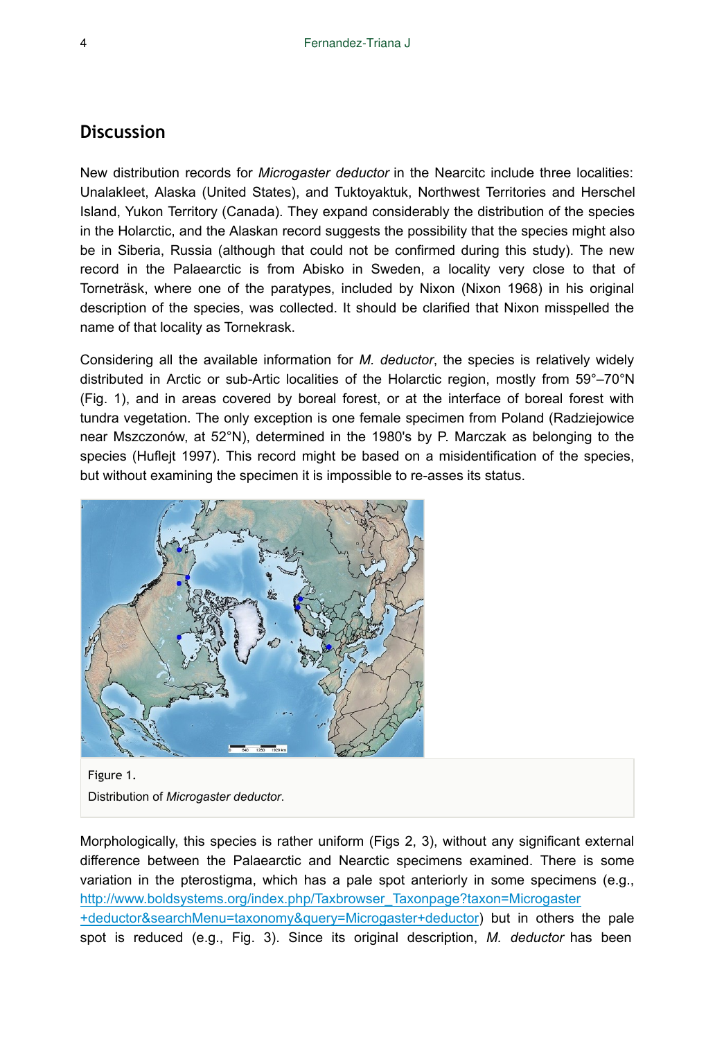### **Discussion**

New distribution records for *Microgaster deductor* in the Nearcitc include three localities: Unalakleet, Alaska (United States), and Tuktoyaktuk, Northwest Territories and Herschel Island, Yukon Territory (Canada). They expand considerably the distribution of the species in the Holarctic, and the Alaskan record suggests the possibility that the species might also be in Siberia, Russia (although that could not be confirmed during this study). The new record in the Palaearctic is from Abisko in Sweden, a locality very close to that of Torneträsk, where one of the paratypes, included by Nixon (Nixon 1968) in his original description of the species, was collected. It should be clarified that Nixon misspelled the name of that locality as Tornekrask.

Considering all the available information for *M. deductor*, the species is relatively widely distributed in Arctic or sub-Artic localities of the Holarctic region, mostly from 59°–70°N (Fig. 1), and in areas covered by boreal forest, or at the interface of boreal forest with tundra vegetation. The only exception is one female specimen from Poland (Radziejowice near Mszczonów, at 52°N), determined in the 1980's by P. Marczak as belonging to the species (Huflejt 1997). This record might be based on a misidentification of the species, but without examining the specimen it is impossible to re-asses its status.



Figure 1. Distribution of *Microgaster deductor*.

Morphologically, this species is rather uniform (Figs 2, 3), without any significant external difference between the Palaearctic and Nearctic specimens examined. There is some variation in the pterostigma, which has a pale spot anteriorly in some specimens (e.g., [http://www.boldsystems.org/index.php/Taxbrowser\\_Taxonpage?taxon=Microgaster](http://www.boldsystems.org/index.php/Taxbrowser_Taxonpage?taxon=Microgaster+deductor&searchMenu=taxonomy&query=Microgaster+deductor) [+deductor&searchMenu=taxonomy&query=Microgaster+deductor\)](http://www.boldsystems.org/index.php/Taxbrowser_Taxonpage?taxon=Microgaster+deductor&searchMenu=taxonomy&query=Microgaster+deductor) but in others the pale spot is reduced (e.g., Fig. 3). Since its original description, *M. deductor* has been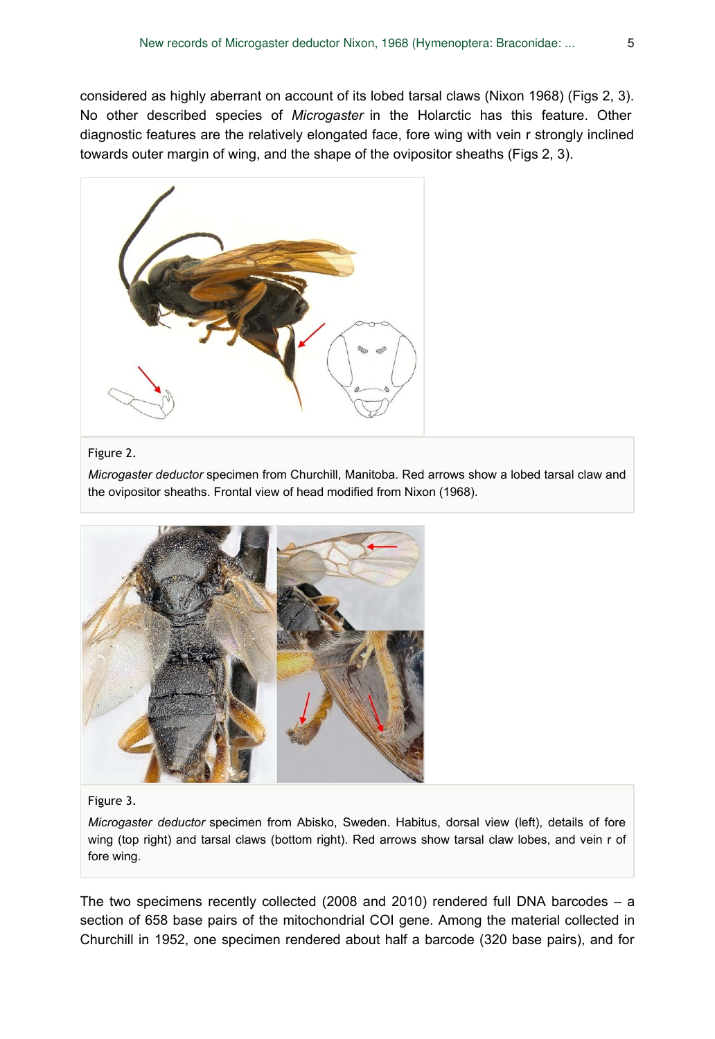considered as highly aberrant on account of its lobed tarsal claws (Nixon 1968) (Figs 2, 3). No other described species of *Microgaster* in the Holarctic has this feature. Other diagnostic features are the relatively elongated face, fore wing with vein r strongly inclined towards outer margin of wing, and the shape of the ovipositor sheaths (Figs 2, 3).



#### Figure 2.

*Microgaster deductor* specimen from Churchill, Manitoba. Red arrows show a lobed tarsal claw and the ovipositor sheaths. Frontal view of head modified from Nixon (1968).



#### Figure 3.

*Microgaster deductor* specimen from Abisko, Sweden. Habitus, dorsal view (left), details of fore wing (top right) and tarsal claws (bottom right). Red arrows show tarsal claw lobes, and vein r of fore wing.

The two specimens recently collected (2008 and 2010) rendered full DNA barcodes  $- a$ section of 658 base pairs of the mitochondrial COI gene. Among the material collected in Churchill in 1952, one specimen rendered about half a barcode (320 base pairs), and for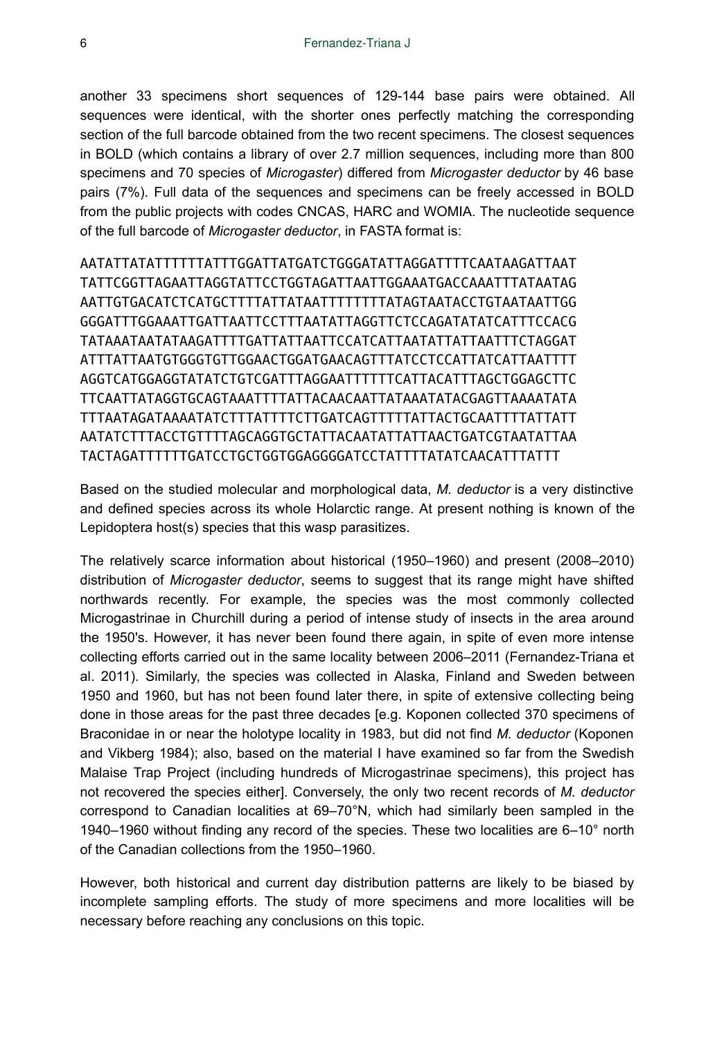another 33 specimens short sequences of 129-144 base pairs were obtained. All sequences were identical, with the shorter ones perfectly matching the corresponding section of the full barcode obtained from the two recent specimens. The closest sequences in BOLD (which contains a library of over 2.7 million sequences, including more than 800 specimens and 70 species of *Microgaster*) differed from *Microgaster deductor* by 46 base pairs (7%). Full data of the sequences and specimens can be freely accessed in BOLD from the public projects with codes CNCAS, HARC and WOMIA. The nucleotide sequence of the full barcode of *Microgaster deductor*, in FASTA format is:

AATATTATATTTTTTATTTGGATTATGATCTGGGATATTAGGATTTTCAATAAGATTAAT TATTCGGTTAGAATTAGGTATTCCTGGTAGATTAATTGGAAATGACCAAATTTATAATAG AATTGTGACATCTCATGCTTTTATTATAATTTTTTTTATAGTAATACCTGTAATAATTGG GGGATTTGGAAATTGATTAATTCCTTTAATATTAGGTTCTCCAGATATATCATTTCCACG TATAAATAATATAAGATTTTGATTATTAATTCCATCATTAATATTATTAATTTCTAGGAT ATTTATTAATGTGGGTGTTGGAACTGGATGAACAGTTTATCCTCCATTATCATTAATTTT AGGTCATGGAGGTATATCTGTCGATTTAGGAATTTTTTCATTACATTTAGCTGGAGCTTC TTCAATTATAGGTGCAGTAAATTTTATTACAACAATTATAAATATACGAGTTAAAATATA TTTAATAGATAAAATATCTTTATTTTCTTGATCAGTTTTTATTACTGCAATTTTATTATT AATATCTTTACCTGTTTTAGCAGGTGCTATTACAATATTATTAACTGATCGTAATATTAA TACTAGATTTTTTGATCCTGCTGGTGGAGGGGATCCTATTTTATATCAACATTTATTT

Based on the studied molecular and morphological data, *M. deductor* is a very distinctive and defined species across its whole Holarctic range. At present nothing is known of the Lepidoptera host(s) species that this wasp parasitizes.

The relatively scarce information about historical (1950–1960) and present (2008–2010) distribution of *Microgaster deductor*, seems to suggest that its range might have shifted northwards recently. For example, the species was the most commonly collected Microgastrinae in Churchill during a period of intense study of insects in the area around the 1950's. However, it has never been found there again, in spite of even more intense collecting efforts carried out in the same locality between 2006–2011 (Fernandez-Triana et al. 2011). Similarly, the species was collected in Alaska, Finland and Sweden between 1950 and 1960, but has not been found later there, in spite of extensive collecting being done in those areas for the past three decades [e.g. Koponen collected 370 specimens of Braconidae in or near the holotype locality in 1983, but did not find *M. deductor* (Koponen and Vikberg 1984); also, based on the material I have examined so far from the Swedish Malaise Trap Project (including hundreds of Microgastrinae specimens), this project has not recovered the species either]. Conversely, the only two recent records of *M. deductor* correspond to Canadian localities at 69–70°N, which had similarly been sampled in the 1940–1960 without finding any record of the species. These two localities are 6–10° north of the Canadian collections from the 1950–1960.

However, both historical and current day distribution patterns are likely to be biased by incomplete sampling efforts. The study of more specimens and more localities will be necessary before reaching any conclusions on this topic.